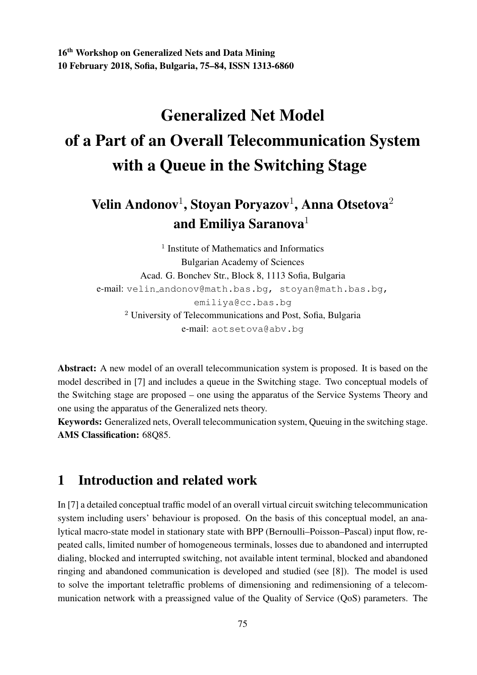16th Workshop on Generalized Nets and Data Mining 10 February 2018, Sofia, Bulgaria, 75–84, ISSN 1313-6860

# Generalized Net Model of a Part of an Overall Telecommunication System with a Queue in the Switching Stage

## Velin Andonov $^1$ , Stoyan Poryazov $^1$ , Anna Otsetova $^2$ and Emiliya Saranova $1$

<sup>1</sup> Institute of Mathematics and Informatics Bulgarian Academy of Sciences Acad. G. Bonchev Str., Block 8, 1113 Sofia, Bulgaria e-mail: velin andonov@math.bas.bg, stoyan@math.bas.bg, emiliya@cc.bas.bg <sup>2</sup> University of Telecommunications and Post, Sofia, Bulgaria e-mail: aotsetova@abv.bg

Abstract: A new model of an overall telecommunication system is proposed. It is based on the model described in [7] and includes a queue in the Switching stage. Two conceptual models of the Switching stage are proposed – one using the apparatus of the Service Systems Theory and one using the apparatus of the Generalized nets theory.

Keywords: Generalized nets, Overall telecommunication system, Queuing in the switching stage. AMS Classification: 68Q85.

## 1 Introduction and related work

In [7] a detailed conceptual traffic model of an overall virtual circuit switching telecommunication system including users' behaviour is proposed. On the basis of this conceptual model, an analytical macro-state model in stationary state with BPP (Bernoulli–Poisson–Pascal) input flow, repeated calls, limited number of homogeneous terminals, losses due to abandoned and interrupted dialing, blocked and interrupted switching, not available intent terminal, blocked and abandoned ringing and abandoned communication is developed and studied (see [8]). The model is used to solve the important teletraffic problems of dimensioning and redimensioning of a telecommunication network with a preassigned value of the Quality of Service (QoS) parameters. The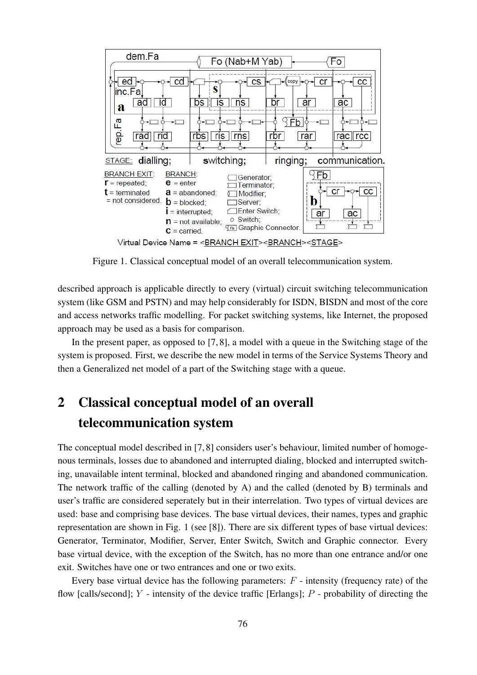

Figure 1. Classical conceptual model of an overall telecommunication system.

described approach is applicable directly to every (virtual) circuit switching telecommunication system (like GSM and PSTN) and may help considerably for ISDN, BISDN and most of the core and access networks traffic modelling. For packet switching systems, like Internet, the proposed approach may be used as a basis for comparison.

In the present paper, as opposed to [7, 8], a model with a queue in the Switching stage of the system is proposed. First, we describe the new model in terms of the Service Systems Theory and then a Generalized net model of a part of the Switching stage with a queue.

## 2 Classical conceptual model of an overall telecommunication system

The conceptual model described in [7, 8] considers user's behaviour, limited number of homogenous terminals, losses due to abandoned and interrupted dialing, blocked and interrupted switching, unavailable intent terminal, blocked and abandoned ringing and abandoned communication. The network traffic of the calling (denoted by A) and the called (denoted by B) terminals and user's traffic are considered seperately but in their interrelation. Two types of virtual devices are used: base and comprising base devices. The base virtual devices, their names, types and graphic representation are shown in Fig. 1 (see [8]). There are six different types of base virtual devices: Generator, Terminator, Modifier, Server, Enter Switch, Switch and Graphic connector. Every base virtual device, with the exception of the Switch, has no more than one entrance and/or one exit. Switches have one or two entrances and one or two exits.

Every base virtual device has the following parameters:  $F$  - intensity (frequency rate) of the flow [calls/second];  $Y$  - intensity of the device traffic [Erlangs];  $P$  - probability of directing the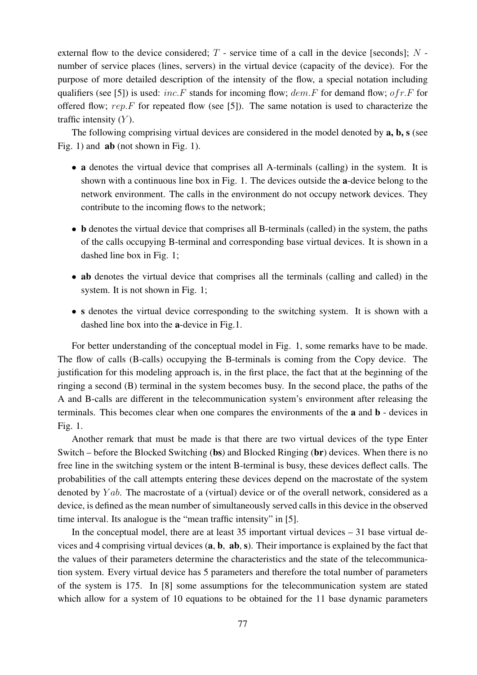external flow to the device considered;  $T$  - service time of a call in the device [seconds];  $N$  number of service places (lines, servers) in the virtual device (capacity of the device). For the purpose of more detailed description of the intensity of the flow, a special notation including qualifiers (see [5]) is used: inc. F stands for incoming flow;  $dem.F$  for demand flow; of r. F for offered flow;  $rep.F$  for repeated flow (see [5]). The same notation is used to characterize the traffic intensity  $(Y)$ .

The following comprising virtual devices are considered in the model denoted by **a**, **b**, **s** (see Fig. 1) and **ab** (not shown in Fig. 1).

- a denotes the virtual device that comprises all A-terminals (calling) in the system. It is shown with a continuous line box in Fig. 1. The devices outside the a-device belong to the network environment. The calls in the environment do not occupy network devices. They contribute to the incoming flows to the network;
- **b** denotes the virtual device that comprises all B-terminals (called) in the system, the paths of the calls occupying B-terminal and corresponding base virtual devices. It is shown in a dashed line box in Fig. 1;
- ab denotes the virtual device that comprises all the terminals (calling and called) in the system. It is not shown in Fig. 1;
- s denotes the virtual device corresponding to the switching system. It is shown with a dashed line box into the a-device in Fig.1.

For better understanding of the conceptual model in Fig. 1, some remarks have to be made. The flow of calls (B-calls) occupying the B-terminals is coming from the Copy device. The justification for this modeling approach is, in the first place, the fact that at the beginning of the ringing a second (B) terminal in the system becomes busy. In the second place, the paths of the A and B-calls are different in the telecommunication system's environment after releasing the terminals. This becomes clear when one compares the environments of the a and b - devices in Fig. 1.

Another remark that must be made is that there are two virtual devices of the type Enter Switch – before the Blocked Switching (bs) and Blocked Ringing (br) devices. When there is no free line in the switching system or the intent B-terminal is busy, these devices deflect calls. The probabilities of the call attempts entering these devices depend on the macrostate of the system denoted by  $Yab$ . The macrostate of a (virtual) device or of the overall network, considered as a device, is defined as the mean number of simultaneously served calls in this device in the observed time interval. Its analogue is the "mean traffic intensity" in [5].

In the conceptual model, there are at least  $35$  important virtual devices  $-31$  base virtual devices and 4 comprising virtual devices (a, b, ab, s). Their importance is explained by the fact that the values of their parameters determine the characteristics and the state of the telecommunication system. Every virtual device has 5 parameters and therefore the total number of parameters of the system is 175. In [8] some assumptions for the telecommunication system are stated which allow for a system of 10 equations to be obtained for the 11 base dynamic parameters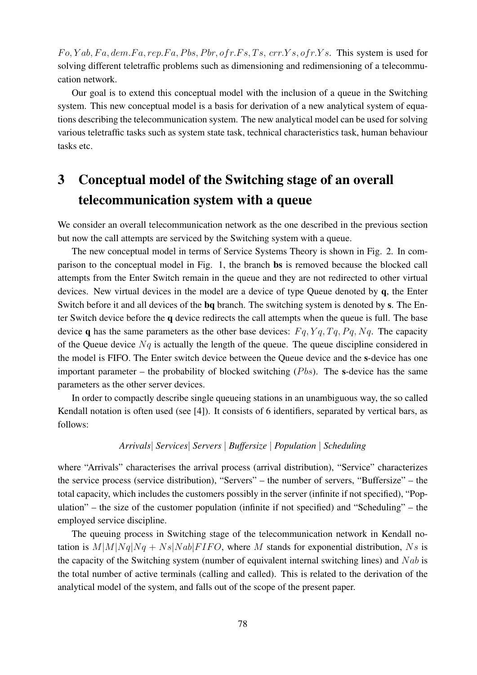$Fo, Yab, Fa, dem.Fa, rep.Fa, Pbs, Pbr, of r.Fs, Ts, crr.Ys, of r.Ys. This system is used for$ solving different teletraffic problems such as dimensioning and redimensioning of a telecommucation network.

Our goal is to extend this conceptual model with the inclusion of a queue in the Switching system. This new conceptual model is a basis for derivation of a new analytical system of equations describing the telecommunication system. The new analytical model can be used for solving various teletraffic tasks such as system state task, technical characteristics task, human behaviour tasks etc.

## 3 Conceptual model of the Switching stage of an overall telecommunication system with a queue

We consider an overall telecommunication network as the one described in the previous section but now the call attempts are serviced by the Switching system with a queue.

The new conceptual model in terms of Service Systems Theory is shown in Fig. 2. In comparison to the conceptual model in Fig. 1, the branch bs is removed because the blocked call attempts from the Enter Switch remain in the queue and they are not redirected to other virtual devices. New virtual devices in the model are a device of type Queue denoted by q, the Enter Switch before it and all devices of the bq branch. The switching system is denoted by s. The Enter Switch device before the q device redirects the call attempts when the queue is full. The base device q has the same parameters as the other base devices:  $Fq, Yq, Tq, Pq, Nq$ . The capacity of the Queue device  $Nq$  is actually the length of the queue. The queue discipline considered in the model is FIFO. The Enter switch device between the Queue device and the s-device has one important parameter – the probability of blocked switching  $(Pbs)$ . The s-device has the same parameters as the other server devices.

In order to compactly describe single queueing stations in an unambiguous way, the so called Kendall notation is often used (see [4]). It consists of 6 identifiers, separated by vertical bars, as follows:

#### *Arrivals*| *Services*| *Servers* | *Buffersize* | *Population* | *Scheduling*

where "Arrivals" characterises the arrival process (arrival distribution), "Service" characterizes the service process (service distribution), "Servers" – the number of servers, "Buffersize" – the total capacity, which includes the customers possibly in the server (infinite if not specified), "Population" – the size of the customer population (infinite if not specified) and "Scheduling" – the employed service discipline.

The queuing process in Switching stage of the telecommunication network in Kendall notation is  $M|M|Nq|Nq + Ns|Nab|FIFO$ , where M stands for exponential distribution, Ns is the capacity of the Switching system (number of equivalent internal switching lines) and  $Nab$  is the total number of active terminals (calling and called). This is related to the derivation of the analytical model of the system, and falls out of the scope of the present paper.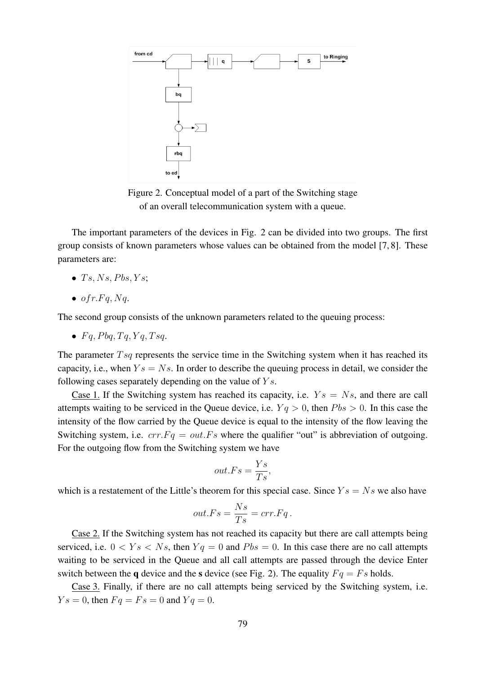

Figure 2. Conceptual model of a part of the Switching stage of an overall telecommunication system with a queue.

The important parameters of the devices in Fig. 2 can be divided into two groups. The first group consists of known parameters whose values can be obtained from the model [7, 8]. These parameters are:

- $Ts, Ns, Pbs, Ys$ ;
- $\bullet$  of r.Fq, Nq.

The second group consists of the unknown parameters related to the queuing process:

•  $Fq$ ,  $Pbq$ ,  $Tq$ ,  $Yq$ ,  $Tsq$ .

The parameter  $Tsq$  represents the service time in the Switching system when it has reached its capacity, i.e., when  $Y_s = N_s$ . In order to describe the queuing process in detail, we consider the following cases separately depending on the value of  $Y_s$ .

Case 1. If the Switching system has reached its capacity, i.e.  $Y_s = N_s$ , and there are call attempts waiting to be serviced in the Queue device, i.e.  $Yq > 0$ , then  $Pbs > 0$ . In this case the intensity of the flow carried by the Queue device is equal to the intensity of the flow leaving the Switching system, i.e.  $crr.Fq = out.Fs$  where the qualifier "out" is abbreviation of outgoing. For the outgoing flow from the Switching system we have

$$
out.Fs = \frac{Ys}{Ts},
$$

which is a restatement of the Little's theorem for this special case. Since  $Y_s = N_s$  we also have

$$
out.Fs = \frac{Ns}{Ts} = err.Fq.
$$

Case 2. If the Switching system has not reached its capacity but there are call attempts being serviced, i.e.  $0 < Y_s < N_s$ , then  $Yq = 0$  and  $Pbs = 0$ . In this case there are no call attempts waiting to be serviced in the Queue and all call attempts are passed through the device Enter switch between the **q** device and the **s** device (see Fig. 2). The equality  $Fq = Fs$  holds.

Case 3. Finally, if there are no call attempts being serviced by the Switching system, i.e.  $Ys = 0$ , then  $Fq = Fs = 0$  and  $Yq = 0$ .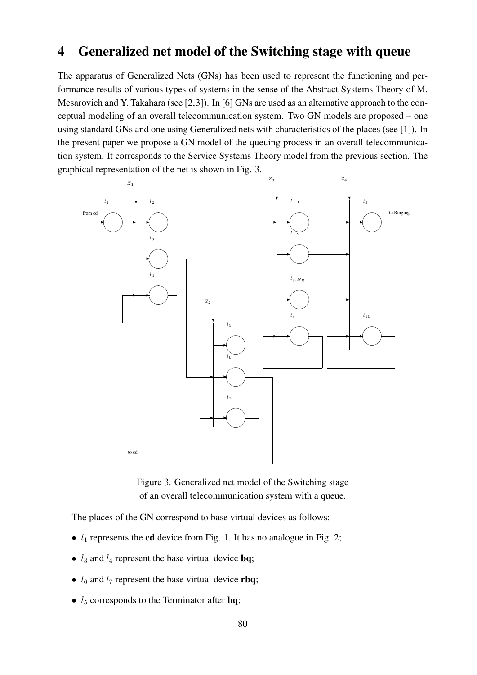### 4 Generalized net model of the Switching stage with queue

The apparatus of Generalized Nets (GNs) has been used to represent the functioning and performance results of various types of systems in the sense of the Abstract Systems Theory of M. Mesarovich and Y. Takahara (see [2,3]). In [6] GNs are used as an alternative approach to the conceptual modeling of an overall telecommunication system. Two GN models are proposed – one using standard GNs and one using Generalized nets with characteristics of the places (see [1]). In the present paper we propose a GN model of the queuing process in an overall telecommunication system. It corresponds to the Service Systems Theory model from the previous section. The graphical representation of the net is shown in Fig. 3.



Figure 3. Generalized net model of the Switching stage of an overall telecommunication system with a queue.

The places of the GN correspond to base virtual devices as follows:

- $l_1$  represents the cd device from Fig. 1. It has no analogue in Fig. 2;
- $l_3$  and  $l_4$  represent the base virtual device **bq**;
- $l_6$  and  $l_7$  represent the base virtual device rbq;
- $l_5$  corresponds to the Terminator after **bq**;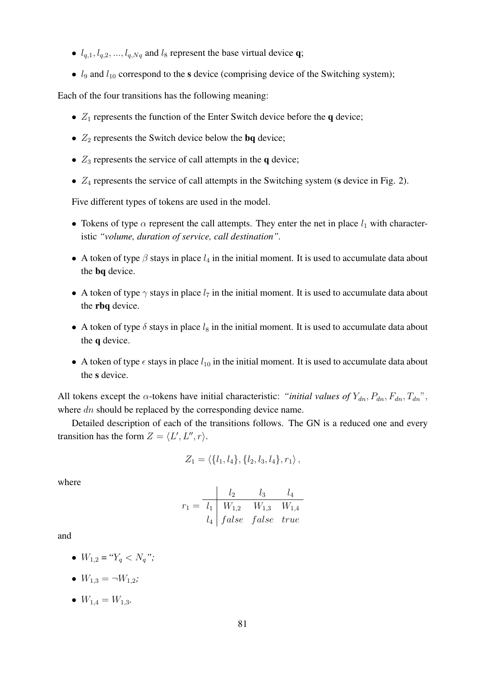- $l_{q,1}, l_{q,2}, ..., l_{q,Nq}$  and  $l_8$  represent the base virtual device q;
- $l_9$  and  $l_{10}$  correspond to the s device (comprising device of the Switching system);

Each of the four transitions has the following meaning:

- $Z_1$  represents the function of the Enter Switch device before the q device;
- $Z_2$  represents the Switch device below the **bq** device;
- $Z_3$  represents the service of call attempts in the q device;
- $Z_4$  represents the service of call attempts in the Switching system (s device in Fig. 2).

Five different types of tokens are used in the model.

- Tokens of type  $\alpha$  represent the call attempts. They enter the net in place  $l_1$  with characteristic *"volume, duration of service, call destination".*
- A token of type  $\beta$  stays in place  $l_4$  in the initial moment. It is used to accumulate data about the bq device.
- A token of type  $\gamma$  stays in place  $l_7$  in the initial moment. It is used to accumulate data about the rbq device.
- A token of type  $\delta$  stays in place  $l_8$  in the initial moment. It is used to accumulate data about the q device.
- A token of type  $\epsilon$  stays in place  $l_{10}$  in the initial moment. It is used to accumulate data about the s device.

All tokens except the  $\alpha$ -tokens have initial characteristic: "*initial values of*  $Y_{dn}$ ,  $P_{dn}$ ,  $F_{dn}$ ,  $T_{dn}$ ", where dn should be replaced by the corresponding device name.

Detailed description of each of the transitions follows. The GN is a reduced one and every transition has the form  $Z = \langle L', L'', r \rangle$ .

$$
Z_1 = \langle \{l_1, l_4\}, \{l_2, l_3, l_4\}, r_1 \rangle
$$

where

$$
r_1 = \begin{array}{c|cc} & l_2 & l_3 & l_4 \\ \hline l_1 & W_{1,2} & W_{1,3} & W_{1,4} \\ l_4 & false & false & true \end{array}
$$

and

- $W_{1,2} = "Y_a < N_a"$ ;
- $W_{1,3} = \neg W_{1,2}$ ;
- $W_{1,4} = W_{1,3}$ .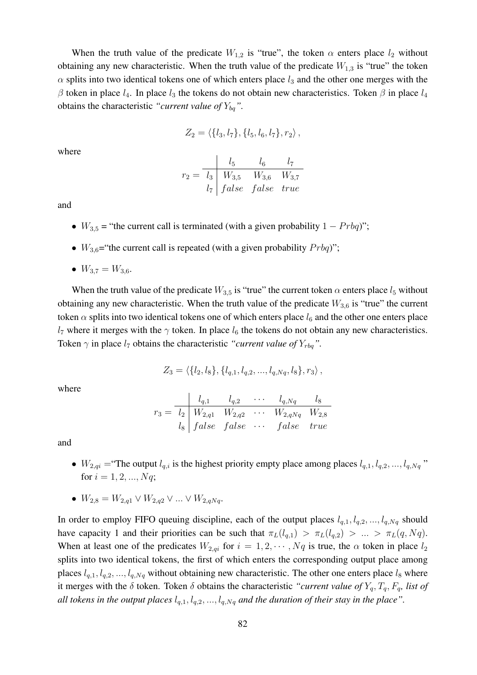When the truth value of the predicate  $W_{1,2}$  is "true", the token  $\alpha$  enters place  $l_2$  without obtaining any new characteristic. When the truth value of the predicate  $W_{1,3}$  is "true" the token  $\alpha$  splits into two identical tokens one of which enters place  $l_3$  and the other one merges with the β token in place  $l_4$ . In place  $l_3$  the tokens do not obtain new characteristics. Token β in place  $l_4$ obtains the characteristic *"current value of*  $Y_{bq}$ ".

$$
Z_2 = \langle \{l_3, l_7\}, \{l_5, l_6, l_7\}, r_2 \rangle
$$

where

$$
r_2 = \frac{l_5}{l_3} \frac{l_6}{W_{3,5}} \frac{l_6}{W_{3,6}} \frac{l_7}{W_{3,7}}
$$
  

$$
l_7
$$
 false false true

and

- $W_{3,5}$  = "the current call is terminated (with a given probability  $1 Prbq$ )";
- $W_{3,6}$ ="the current call is repeated (with a given probability  $Probq$ )";
- $W_{3,7} = W_{3,6}$ .

When the truth value of the predicate  $W_{3,5}$  is "true" the current token  $\alpha$  enters place  $l_5$  without obtaining any new characteristic. When the truth value of the predicate  $W_{3,6}$  is "true" the current token  $\alpha$  splits into two identical tokens one of which enters place  $l_6$  and the other one enters place  $l_7$  where it merges with the  $\gamma$  token. In place  $l_6$  the tokens do not obtain any new characteristics. Token  $\gamma$  in place  $l_7$  obtains the characteristic *"current value of*  $Y_{rbq}$ ".

$$
Z_3 = \langle \{l_2, l_8\}, \{l_{q,1}, l_{q,2}, ..., l_{q,Nq}, l_8\}, r_3 \rangle,
$$

where

$$
r_3 = \frac{l_{q,1}}{l_2} \frac{l_{q,2}}{W_{2,q1}} \frac{l_{q,2}}{W_{2,q2}} \cdots \frac{l_{q,Nq}}{W_{2,qNq}} \frac{l_8}{W_{2,8}}
$$
  

$$
l_8
$$
 false false . . . false true

and

- $W_{2,qi}$  = "The output  $l_{q,i}$  is the highest priority empty place among places  $l_{q,1}, l_{q,2}, ..., l_{q,Nq}$ " for  $i = 1, 2, ..., Nq$ ;
- $W_{2,8} = W_{2,q1} \vee W_{2,q2} \vee ... \vee W_{2,qNq}$ .

In order to employ FIFO queuing discipline, each of the output places  $l_{q,1}, l_{q,2}, ..., l_{q,Nq}$  should have capacity 1 and their priorities can be such that  $\pi_L(l_{q,1}) > \pi_L(l_{q,2}) > ... > \pi_L(q, Nq)$ . When at least one of the predicates  $W_{2,qi}$  for  $i = 1, 2, \dots, Nq$  is true, the  $\alpha$  token in place  $l_2$ splits into two identical tokens, the first of which enters the corresponding output place among places  $l_{q,1}, l_{q,2}, ..., l_{q,Nq}$  without obtaining new characteristic. The other one enters place  $l_8$  where it merges with the  $\delta$  token. Token  $\delta$  obtains the characteristic *"current value of*  $Y_q$ ,  $T_q$ ,  $F_q$ , list of *all tokens in the output places*  $l_{q,1}, l_{q,2}, ..., l_{q,Nq}$  *and the duration of their stay in the place*".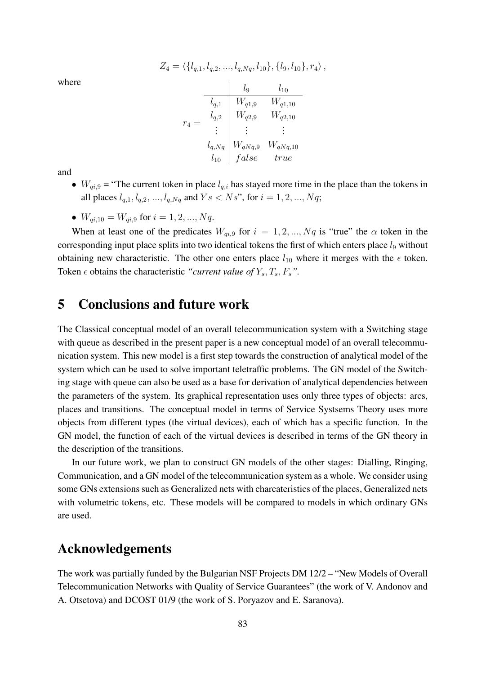$Z_4 = \langle \{l_{a,1}, l_{a,2}, ..., l_{a,Nq}, l_{10}\}, \{l_9, l_{10}\}, r_4\rangle,$ 

where

|         |            | lg          | $l_{10}$     |
|---------|------------|-------------|--------------|
| $r_{4}$ | $l_{q,1}$  | $W_{q1,9}$  | $W_{q1,10}$  |
|         | $l_{q,2}$  | $W_{q2,9}$  | $W_{q2,10}$  |
|         |            |             |              |
|         | $l_{q,Nq}$ | $W_{qNq,9}$ | $W_{qNq,10}$ |
|         | $l_{10}$   | false       | true         |

and

- $W_{qi,9}$  = "The current token in place  $l_{q,i}$  has stayed more time in the place than the tokens in all places  $l_{q,1}, l_{q,2}, ..., l_{q,Nq}$  and  $Y s < N s$ ", for  $i = 1, 2, ..., Nq$ ;
- $W_{qi,10} = W_{qi,9}$  for  $i = 1, 2, ..., Nq$ .

When at least one of the predicates  $W_{qi,9}$  for  $i = 1, 2, ..., Nq$  is "true" the  $\alpha$  token in the corresponding input place splits into two identical tokens the first of which enters place  $l_9$  without obtaining new characteristic. The other one enters place  $l_{10}$  where it merges with the  $\epsilon$  token. Token  $\epsilon$  obtains the characteristic *"current value of*  $Y_s$ ,  $T_s$ ,  $F_s$ ".

### 5 Conclusions and future work

The Classical conceptual model of an overall telecommunication system with a Switching stage with queue as described in the present paper is a new conceptual model of an overall telecommunication system. This new model is a first step towards the construction of analytical model of the system which can be used to solve important teletraffic problems. The GN model of the Switching stage with queue can also be used as a base for derivation of analytical dependencies between the parameters of the system. Its graphical representation uses only three types of objects: arcs, places and transitions. The conceptual model in terms of Service Systsems Theory uses more objects from different types (the virtual devices), each of which has a specific function. In the GN model, the function of each of the virtual devices is described in terms of the GN theory in the description of the transitions.

In our future work, we plan to construct GN models of the other stages: Dialling, Ringing, Communication, and a GN model of the telecommunication system as a whole. We consider using some GNs extensions such as Generalized nets with charcateristics of the places, Generalized nets with volumetric tokens, etc. These models will be compared to models in which ordinary GNs are used.

### Acknowledgements

The work was partially funded by the Bulgarian NSF Projects DM 12/2 – "New Models of Overall Telecommunication Networks with Quality of Service Guarantees" (the work of V. Andonov and A. Otsetova) and DCOST 01/9 (the work of S. Poryazov and E. Saranova).